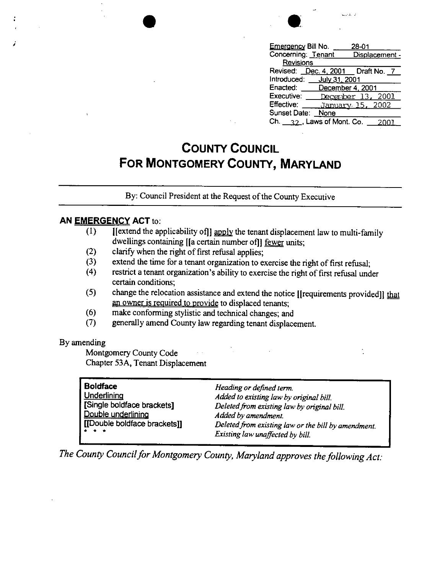| saarata la                                      |
|-------------------------------------------------|
| <u>Emergency</u> Bill No.<br>28-01              |
| Concerning: Tenant<br>Displacement -            |
| Revisions                                       |
| Draft No. 7<br>Dec. 4, 2001<br>Revised:         |
| Introduced:<br>July 31, 2001                    |
| Enacted:<br>December 4, 2001                    |
| Executive:<br>2001<br>December 13               |
| Effective:<br>January 15, 2002                  |
| Sunset Date:<br>None                            |
| Ch. $\frac{22}{12}$ , Laws of Mont. Co.<br>2001 |

## **COUNTY COUNCIL FOR MONTGOMERY COUNTY, MARYLAND**

By: Council President at the Request of the County Executive

## **AN EMERGENCY ACT** to:

- (1) [[extend the applicability of]] apply the tenant displacement law to multi-family dwellings containing [[a certain number of]] fewer units;
- (2) clarify when the right of first refusal applies;
- (3) extend the time for a tenant organization to exercise the right of first refusal;
- (4) restrict a tenant organization's ability to exercise the right of first refusal under certain conditions;
- (5) change the relocation assistance and extend the notice [[requirements provided]]  $\underline{that}$ an owner is required to provide to displaced tenants;
- ( 6) make conforming stylistic and technical changes; and
- (7) generally amend County law regarding tenant displacement.

## By amending

;

Montgomery County Code Chapter 53A, Tenant Displacement

| <b>Boldface</b>                                                                                       | Heading or defined term.                            |
|-------------------------------------------------------------------------------------------------------|-----------------------------------------------------|
| Underlining                                                                                           | Added to existing law by original bill.             |
| [Single boldface brackets]                                                                            | Deleted from existing law by original bill.         |
| Double underlining                                                                                    | Added by amendment.                                 |
| [[Double boldface brackets]]                                                                          | Deleted from existing law or the bill by amendment. |
| $\begin{array}{cccccccccccccc} \bullet & \bullet & \bullet & \bullet & \bullet & \bullet \end{array}$ | Existing law unaffected by bill.                    |

*The County Council for Montgomery County, Maryland approves the following Act:*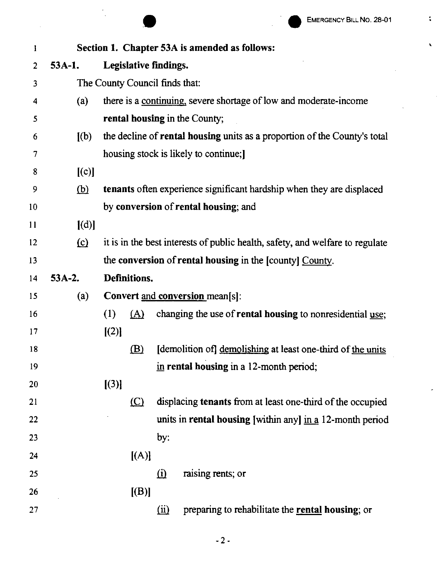$\bar{\mathbf{v}}$ 

 $\hat{\mathcal{A}}$ 

Ü,

 $\ddot{\bullet}$ 

|                         |          |                                |                       |                | EMERGENCY BILL NO. 28-01                                                      |
|-------------------------|----------|--------------------------------|-----------------------|----------------|-------------------------------------------------------------------------------|
| 1                       |          |                                |                       |                | Section 1. Chapter 53A is amended as follows:                                 |
| $\overline{2}$          | 53A-1.   |                                | Legislative findings. |                |                                                                               |
| $\overline{\mathbf{3}}$ |          | The County Council finds that: |                       |                |                                                                               |
| 4                       | (a)      |                                |                       |                | there is a continuing, severe shortage of low and moderate-income             |
| 5                       |          |                                |                       |                | rental housing in the County;                                                 |
| 6                       | (a)      |                                |                       |                | the decline of rental housing units as a proportion of the County's total     |
| 7                       |          |                                |                       |                | housing stock is likely to continue;                                          |
| 8                       | [(c)]    |                                |                       |                |                                                                               |
| 9                       | (b)      |                                |                       |                | tenants often experience significant hardship when they are displaced         |
| 10                      |          |                                |                       |                | by conversion of rental housing; and                                          |
| 11                      | [(d)]    |                                |                       |                |                                                                               |
| 12                      | $\Omega$ |                                |                       |                | it is in the best interests of public health, safety, and welfare to regulate |
| 13                      |          |                                |                       |                | the conversion of rental housing in the [county] County.                      |
| 14                      | $53A-2.$ |                                | Definitions.          |                |                                                                               |
| 15                      | (a)      |                                |                       |                | Convert and conversion mean[s]:                                               |
| 16                      |          | (1)                            | (A)                   |                | changing the use of <b>rental housing</b> to nonresidential use;              |
| 17                      |          | [(2)]                          |                       |                |                                                                               |
| 18                      |          |                                | $\mathbf{B}$          |                | [demolition of] demolishing at least one-third of the units                   |
| 19                      |          |                                |                       |                | in rental housing in a 12-month period;                                       |
| 20                      |          | [(3)]                          |                       |                |                                                                               |
| 21                      |          |                                | $\circ$               |                | displacing tenants from at least one-third of the occupied                    |
| 22                      |          |                                |                       |                | units in rental housing [within any] in a 12-month period                     |
| 23                      |          |                                |                       | by:            |                                                                               |
| 24                      |          |                                | [(A)]                 |                |                                                                               |
| 25                      |          |                                |                       | $\Omega$       | raising rents; or                                                             |
| 26                      |          |                                | [(B)]                 |                |                                                                               |
| 27                      |          |                                |                       | $\overline{u}$ | preparing to rehabilitate the rental housing; or                              |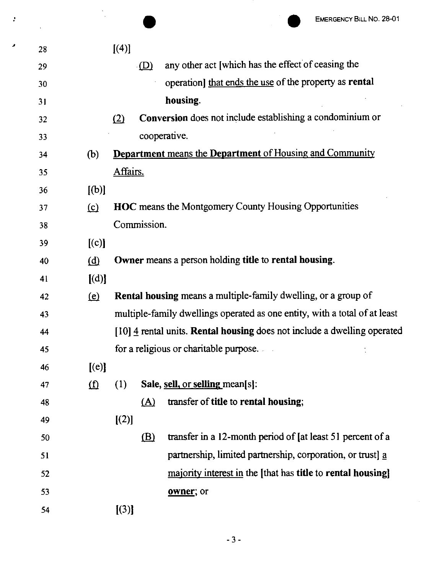| ÷ |    |                         | EMERGENCY BILL NO. 28-01                                                   |
|---|----|-------------------------|----------------------------------------------------------------------------|
|   | 28 |                         | [(4)]                                                                      |
|   | 29 |                         | any other act [which has the effect of ceasing the<br>(D)                  |
|   | 30 |                         | operation] that ends the use of the property as rental                     |
|   | 31 |                         | housing.                                                                   |
|   | 32 |                         | Conversion does not include establishing a condominium or<br>(2)           |
|   | 33 |                         | cooperative.                                                               |
|   | 34 | (b)                     | <b>Department</b> means the Department of Housing and Community            |
|   | 35 |                         | Affairs.                                                                   |
|   | 36 | [(b)]                   |                                                                            |
|   | 37 | $\Omega$                | <b>HOC</b> means the Montgomery County Housing Opportunities               |
|   | 38 |                         | Commission.                                                                |
|   | 39 | [(c)]                   |                                                                            |
|   | 40 | ( <u>d</u> )            | Owner means a person holding title to rental housing.                      |
|   | 41 | [(d)]                   |                                                                            |
|   | 42 | <u>(e)</u>              | <b>Rental housing means a multiple-family dwelling, or a group of</b>      |
|   | 43 |                         | multiple-family dwellings operated as one entity, with a total of at least |
|   | 44 |                         | [10] 4 rental units. Rental housing does not include a dwelling operated   |
|   | 45 |                         | for a religious or charitable purpose.                                     |
|   | 46 | [(e)]                   |                                                                            |
|   | 47 | $\overline{\mathbf{u}}$ | Sale, sell, or selling mean[s]:<br>(1)                                     |
|   | 48 |                         | transfer of title to rental housing;<br><u>(A)</u>                         |
|   | 49 |                         | [(2)]                                                                      |
|   | 50 |                         | transfer in a 12-month period of [at least 51 percent of a<br>$\mathbf{B}$ |
|   | 51 |                         | partnership, limited partnership, corporation, or trust] a                 |
|   | 52 |                         | majority interest in the [that has title to rental housing]                |
|   | 53 |                         | owner; or                                                                  |
|   | 54 |                         | [(3)]                                                                      |
|   |    |                         |                                                                            |

 $\mathcal{L}_{\mathbf{r}}$ 

- 3 -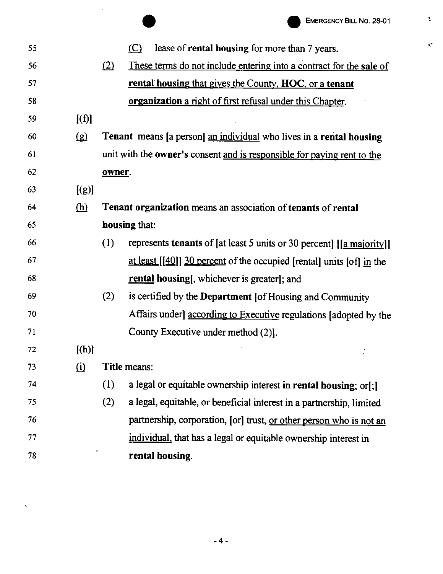$\ddot{\cdot}$ 

 $\mathcal{C}$ 

|    |          |        |               | EMERGENCY BILL NO. 28-01                                                       |
|----|----------|--------|---------------|--------------------------------------------------------------------------------|
| 55 |          |        | (C)           | lease of rental housing for more than 7 years.                                 |
| 56 |          | (2)    |               | These terms do not include entering into a contract for the sale of            |
| 57 |          |        |               | rental housing that gives the County, HOC, or a tenant                         |
| 58 |          |        |               | <b>organization</b> a right of first refusal under this Chapter.               |
| 59 | [(f)]    |        |               |                                                                                |
| 60 | $\Omega$ |        |               | <b>Tenant</b> means [a person] an individual who lives in a rental housing     |
| 61 |          |        |               | unit with the <b>owner's</b> consent and is responsible for paying rent to the |
| 62 |          | owner. |               |                                                                                |
| 63 | [(g)]    |        |               |                                                                                |
| 64 | (h)      |        |               | Tenant organization means an association of tenants of rental                  |
| 65 |          |        | housing that: |                                                                                |
| 66 |          | (1)    |               | represents tenants of [at least 5 units or 30 percent] [[a majority]]          |
| 67 |          |        |               | <u>at least</u> $[[40]]$ 30 percent of the occupied [rental] units [of] in the |
| 68 |          |        |               | <b>rental housing</b> , whichever is greater, and                              |
| 69 |          | (2)    |               | is certified by the Department [of Housing and Community                       |
| 70 |          |        |               | Affairs under according to Executive regulations (adopted by the               |
| 71 |          |        |               | County Executive under method (2).                                             |
| 72 | $[$ (h)] |        |               |                                                                                |
| 73 | $\Omega$ |        | Title means:  |                                                                                |
| 74 |          | (1)    |               | a legal or equitable ownership interest in rental housing; or[;]               |
| 75 |          | (2)    |               | a legal, equitable, or beneficial interest in a partnership, limited           |
| 76 |          |        |               | partnership, corporation, [or] trust, or other person who is not an            |
| 77 |          |        |               | individual, that has a legal or equitable ownership interest in                |
| 78 |          |        |               | rental housing.                                                                |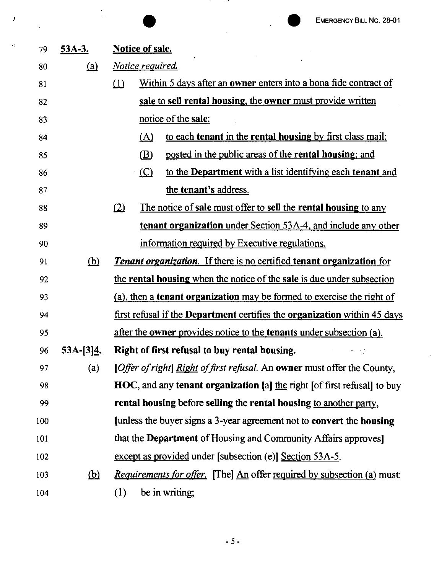|     |             | <b>EMERGENCY BILL NO. 28-01</b>                                                |
|-----|-------------|--------------------------------------------------------------------------------|
| 79  | $53A-3.$    | <b>Notice of sale.</b>                                                         |
| 80  | (a)         | <u>Notice required.</u>                                                        |
| 81  |             | Within 5 days after an owner enters into a bona fide contract of<br>(1)        |
| 82  |             | sale to sell rental housing, the owner must provide written                    |
| 83  |             | notice of the sale:                                                            |
| 84  |             | to each tenant in the rental housing by first class mail;<br>(A)               |
| 85  |             | posted in the public areas of the rental housing; and<br>(B)                   |
| 86  |             | to the Department with a list identifying each tenant and<br>(C)               |
| 87  |             | the tenant's address.                                                          |
| 88  |             | The notice of sale must offer to sell the rental housing to any<br>(2)         |
| 89  |             | <b>tenant organization</b> under Section 53A-4, and include any other          |
| 90  |             | information required by Executive regulations.                                 |
| 91  | <u>(b)</u>  | <b>Tenant organization.</b> If there is no certified tenant organization for   |
| 92  |             | the rental housing when the notice of the sale is due under subsection         |
| 93  |             | (a), then a <b>tenant organization</b> may be formed to exercise the right of  |
| 94  |             | first refusal if the Department certifies the organization within 45 days      |
| 95  |             | after the owner provides notice to the tenants under subsection (a).           |
| 96  | $53A-[3]4.$ | Right of first refusal to buy rental housing.                                  |
| 97  | (a)         | [Offer of right] Right of first refusal. An owner must offer the County,       |
| 98  |             | HOC, and any tenant organization [a] the right [of first refusal] to buy       |
| 99  |             | rental housing before selling the rental housing to another party,             |
| 100 |             | funless the buyer signs a 3-year agreement not to convert the housing          |
| 101 |             | that the <b>Department</b> of Housing and Community Affairs approves           |
| 102 |             | except as provided under [subsection (e)] Section 53A-5.                       |
| 103 | <u>(b)</u>  | <i>Requirements for offer.</i> [The] An offer required by subsection (a) must: |
| 104 |             | be in writing;<br>(1)                                                          |

·'

 $\bar{\phi}$ 

- *5* -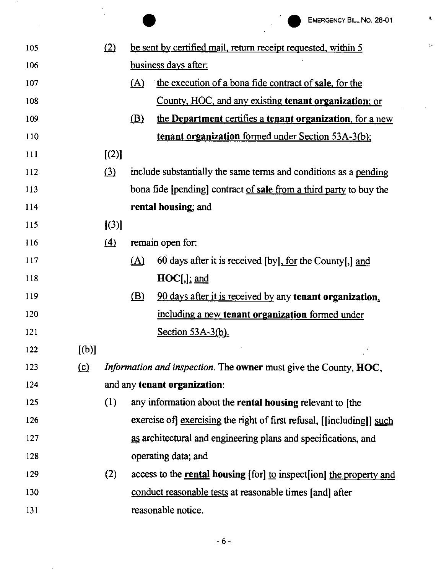$\pmb{\epsilon}$ 

 $\Omega$ 

| (2)<br>be sent by certified mail, return receipt requested, within 5<br>105         |  |
|-------------------------------------------------------------------------------------|--|
|                                                                                     |  |
| business days after:<br>106                                                         |  |
| the execution of a bona fide contract of sale, for the<br>(A)<br>107                |  |
| County, HOC, and any existing tenant organization; or<br>108                        |  |
| the Department certifies a tenant organization, for a new<br>(B)<br>109             |  |
| <b>tenant organization formed under Section 53A-3(b);</b><br>110                    |  |
| [(2)]<br>111                                                                        |  |
| (3)<br>include substantially the same terms and conditions as a pending<br>112      |  |
| bona fide [pending] contract of sale from a third party to buy the<br>113           |  |
| rental housing; and<br>114                                                          |  |
| $\vert (3) \vert$<br>115                                                            |  |
| $\Delta$<br>remain open for:<br>116                                                 |  |
| 117<br>60 days after it is received [by], for the County[,] and<br>(A)              |  |
| $HOC[,$ ; and<br>118                                                                |  |
| <u>(B)</u><br>90 days after it is received by any tenant organization,<br>119       |  |
| including a new tenant organization formed under<br>120                             |  |
| 121<br>Section $53A-3(b)$ .                                                         |  |
| [(b)]<br>122                                                                        |  |
| $\Omega$<br>Information and inspection. The owner must give the County, HOC,<br>123 |  |
| and any tenant organization:<br>124                                                 |  |
| (1)<br>any information about the rental housing relevant to [the<br>125             |  |
| exercise of <u>exercising</u> the right of first refusal, [[including]] such<br>126 |  |
| as architectural and engineering plans and specifications, and<br>127               |  |
| operating data; and<br>128                                                          |  |
| (2)<br>access to the rental housing [for] to inspect [ion] the property and<br>129  |  |
| 130<br>conduct reasonable tests at reasonable times [and] after                     |  |
| reasonable notice.<br>131                                                           |  |

 $\bar{z}$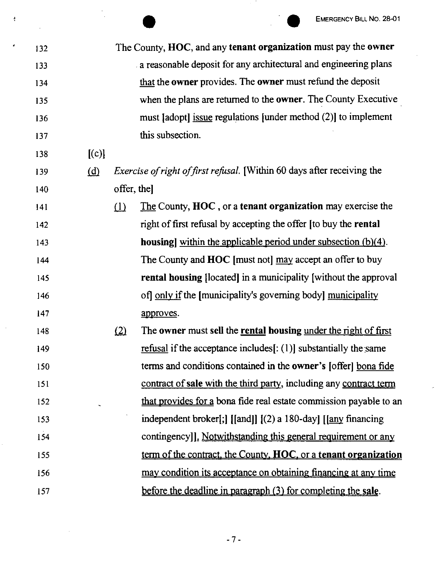|     |       |            | <b>EMERGENCY BILL NO. 28-01</b>                                                                                                                                             |
|-----|-------|------------|-----------------------------------------------------------------------------------------------------------------------------------------------------------------------------|
| 132 |       |            | The County, HOC, and any tenant organization must pay the owner                                                                                                             |
| 133 |       |            | a reasonable deposit for any architectural and engineering plans                                                                                                            |
| 134 |       |            | that the owner provides. The owner must refund the deposit                                                                                                                  |
| 135 |       |            | when the plans are returned to the <b>owner</b> . The County Executive                                                                                                      |
| 136 |       |            | must [adopt] issue regulations [under method $(2)$ ] to implement                                                                                                           |
| 137 |       |            | this subsection.                                                                                                                                                            |
| 138 | [(c)] |            |                                                                                                                                                                             |
| 139 | (d)   |            | Exercise of right of first refusal. [Within 60 days after receiving the                                                                                                     |
| 140 |       | offer, the |                                                                                                                                                                             |
| 141 |       | (1)        | The County, HOC, or a tenant organization may exercise the                                                                                                                  |
| 142 |       |            | right of first refusal by accepting the offer [to buy the rental                                                                                                            |
| 143 |       |            | housing] within the applicable period under subsection (b)(4).                                                                                                              |
| 144 |       |            | The County and HOC [must not] may accept an offer to buy                                                                                                                    |
| 145 |       |            | rental housing [located] in a municipality [without the approval                                                                                                            |
| 146 |       |            | of only if the [municipality's governing body] municipality                                                                                                                 |
| 147 |       |            | approves.                                                                                                                                                                   |
| 148 |       | <u>(2)</u> | The owner must sell the rental housing under the right of first                                                                                                             |
| 149 |       |            | refusal if the acceptance includes[ $\colon$ (1)] substantially the same                                                                                                    |
| 150 |       |            | terms and conditions contained in the owner's [offer] bona fide                                                                                                             |
| 151 |       |            | contract of sale with the third party, including any contract term                                                                                                          |
| 152 |       |            | that provides for a bona fide real estate commission payable to an                                                                                                          |
| 153 |       |            | independent broker[;] $\left[\frac{\text{and}}{\text{d}}\right]$ $\left[\frac{\text{2}}{\text{d}}\right]$ a 180-day] $\left[\frac{\text{any}}{\text{tan}}\right]$ financing |
| 154 |       |            | contingency]]. Notwithstanding this general requirement or any                                                                                                              |
| 155 |       |            | term of the contract, the County, HOC, or a tenant organization                                                                                                             |
| 156 |       |            | may condition its acceptance on obtaining financing at any time                                                                                                             |
| 157 |       |            | before the deadline in paragraph (3) for completing the sale.                                                                                                               |

 $\frac{4}{3}$ 

- 7 -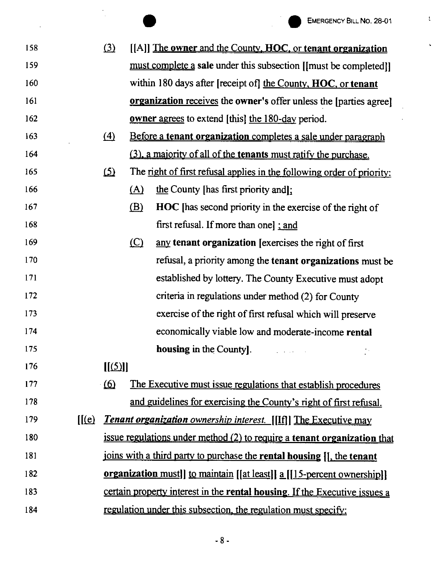$\mathfrak{t}$ 

 $\hat{\mathbf{v}}$ 

|     |        |            |     | <b>EMERGENCY BILL NO. 28-01</b>                                                  |
|-----|--------|------------|-----|----------------------------------------------------------------------------------|
| 158 |        | (3)        |     | [[A]] The owner and the County, HOC, or tenant organization                      |
| 159 |        |            |     | must complete a sale under this subsection [[must be completed]]                 |
| 160 |        |            |     | within 180 days after [receipt of] the County, HOC, or tenant                    |
| 161 |        |            |     | <b>organization</b> receives the <b>owner's</b> offer unless the [parties agree] |
| 162 |        |            |     | <b><u>owner agrees</u></b> to extend [this] the 180-day period.                  |
| 163 |        | $\Delta$   |     | Before a tenant organization completes a sale under paragraph                    |
| 164 |        |            |     | (3), a majority of all of the tenants must ratify the purchase.                  |
| 165 |        | <u>(5)</u> |     | The right of first refusal applies in the following order of priority:           |
| 166 |        |            | (A) | the County [has first priority and];                                             |
| 167 |        |            | (B) | <b>HOC</b> [has second priority in the exercise of the right of                  |
| 168 |        |            |     | first refusal. If more than one] ; and                                           |
| 169 |        |            | (C) | any tenant organization [exercises the right of first]                           |
| 170 |        |            |     | refusal, a priority among the tenant organizations must be                       |
| 171 |        |            |     | established by lottery. The County Executive must adopt                          |
| 172 |        |            |     | criteria in regulations under method (2) for County                              |
| 173 |        |            |     | exercise of the right of first refusal which will preserve                       |
| 174 |        |            |     | economically viable low and moderate-income rental                               |
| 175 |        |            |     | housing in the County].<br>* v.                                                  |
| 176 |        | [(5)]      |     |                                                                                  |
| 177 |        | $\omega$   |     | The Executive must issue regulations that establish procedures                   |
| 178 |        |            |     | and guidelines for exercising the County's right of first refusal.               |
| 179 | [[(e)] |            |     | <b>Tenant organization</b> ownership interest. [[If]] The Executive may          |
| 180 |        |            |     | issue regulations under method (2) to require a tenant organization that         |
| 181 |        |            |     | joins with a third party to purchase the rental housing [J, the tenant           |
| 182 |        |            |     | organization must]] to maintain [[at least]] a [[15-percent ownership]]          |
| 183 |        |            |     | certain property interest in the rental housing. If the Executive issues a       |
| 184 |        |            |     | regulation under this subsection, the regulation must specify:                   |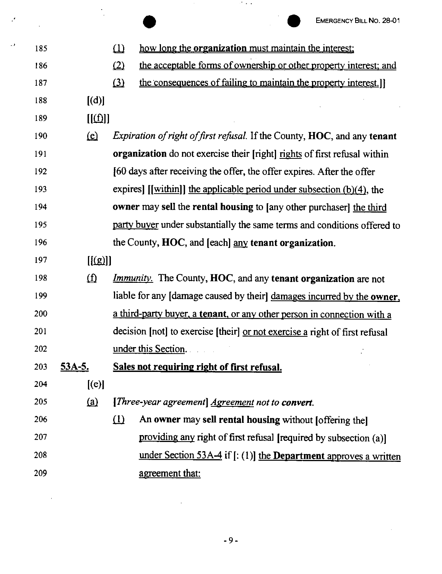$\sim$ 

|     |     |               |          | EMERGENCY BILL NO. 28-01                                                                |
|-----|-----|---------------|----------|-----------------------------------------------------------------------------------------|
| ٠., | 185 |               | $\omega$ | how long the <b>organization</b> must maintain the interest;                            |
|     | 186 |               | (2)      | the acceptable forms of ownership or other property interest; and                       |
|     | 187 |               | $\Omega$ | the consequences of failing to maintain the property interest.                          |
|     | 188 | [(d)]         |          |                                                                                         |
|     | 189 | [(f)]         |          |                                                                                         |
|     | 190 | <u>(c)</u>    |          | <i>Expiration of right of first refusal.</i> If the County, <b>HOC</b> , and any tenant |
|     | 191 |               |          | <b>organization</b> do not exercise their [right] rights of first refusal within        |
|     | 192 |               |          | [60 days after receiving the offer, the offer expires. After the offer                  |
|     | 193 |               |          | expires] $[[within]]$ the applicable period under subsection $(b)(4)$ , the             |
|     | 194 |               |          | owner may sell the rental housing to [any other purchaser] the third                    |
|     | 195 |               |          | party buyer under substantially the same terms and conditions offered to                |
|     | 196 |               |          | the County, HOC, and [each] any tenant organization.                                    |
|     | 197 | [[(g)]]       |          |                                                                                         |
|     | 198 | $\Omega$      |          | <i>Immunity</i> . The County, HOC, and any tenant organization are not                  |
|     | 199 |               |          | liable for any [damage caused by their] damages incurred by the owner,                  |
|     | 200 |               |          | a third-party buyer, a tenant, or any other person in connection with a                 |
|     | 201 |               |          | decision [not] to exercise [their] or not exercise a right of first refusal             |
|     | 202 |               |          | under this Section.                                                                     |
|     | 203 | <u>53A-5.</u> |          | Sales not requiring right of first refusal.                                             |
|     | 204 | [(e)]         |          |                                                                                         |
|     | 205 | <u>(a)</u>    |          | [Three-year agreement] <u>Agreement</u> not to convert.                                 |
|     | 206 |               | $\Omega$ | An owner may sell rental housing without [offering the]                                 |
|     | 207 |               |          | providing any right of first refusal [required by subsection (a)]                       |
|     | 208 |               |          | under Section 53A-4 if $[$ : (1)] the <b>Department</b> approves a written              |
|     | 209 |               |          | agreement that:                                                                         |

 $\mathcal{I}$ 

 $\sim 10^7$ 

 $\cdot$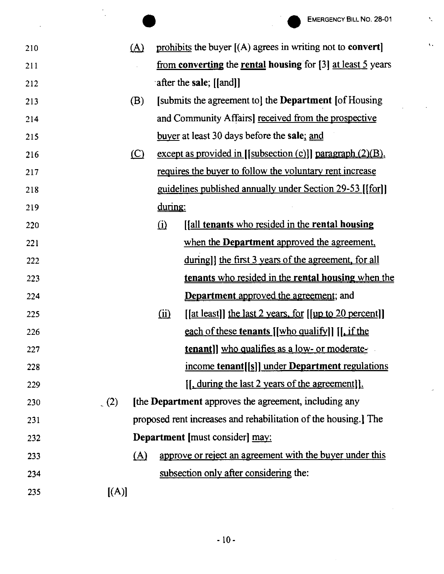$\hat{\mathbf{r}}$ 

 $\bar{\chi}$  .

|     |       |     |         | <b>EMERGENCY BILL NO. 28-01</b>                                  |
|-----|-------|-----|---------|------------------------------------------------------------------|
| 210 |       | (A) |         | prohibits the buyer $[(A)$ agrees in writing not to convert      |
| 211 |       |     |         | from converting the rental housing for $[3]$ at least 5 years    |
| 212 |       |     |         | after the sale; [[and]]                                          |
| 213 |       | (B) |         | [submits the agreement to] the <b>Department</b> [of Housing]    |
| 214 |       |     |         | and Community Affairs] received from the prospective             |
| 215 |       |     |         | buyer at least 30 days before the sale; and                      |
| 216 |       | (C) |         | except as provided in [[subsection $(c)$ ]] paragraph $(2)(B)$ , |
| 217 |       |     |         | requires the buyer to follow the voluntary rent increase         |
| 218 |       |     |         | guidelines published annually under Section 29-53 [[for]]        |
| 219 |       |     | during: |                                                                  |
| 220 |       |     | (i)     | [[all tenants who resided in the rental housing                  |
| 221 |       |     |         | when the <b>Department</b> approved the agreement,               |
| 222 |       |     |         | during]] the first 3 years of the agreement, for all             |
| 223 |       |     |         | tenants who resided in the rental housing when the               |
| 224 |       |     |         | <b>Department</b> approved the agreement; and                    |
| 225 |       |     | (i)     | [[at least]] the last 2 years, for [[up to 20 percent]]          |
| 226 |       |     |         | each of these tenants [[who qualify]] [[it the                   |
| 227 |       |     |         | tenant]] who qualifies as a low- or moderate-                    |
| 228 |       |     |         | income tenant[[s]] under Department regulations                  |
| 229 |       |     |         | [, during the last 2 years of the agreement]].                   |
| 230 | (2)   |     |         | the Department approves the agreement, including any             |
| 231 |       |     |         | proposed rent increases and rehabilitation of the housing.] The  |
| 232 |       |     |         | <b>Department</b> [must consider] may:                           |
| 233 |       | (A) |         | approve or reject an agreement with the buyer under this         |
| 234 |       |     |         | subsection only after considering the:                           |
| 235 | [(A)] |     |         |                                                                  |
|     |       |     |         |                                                                  |

 $\sim$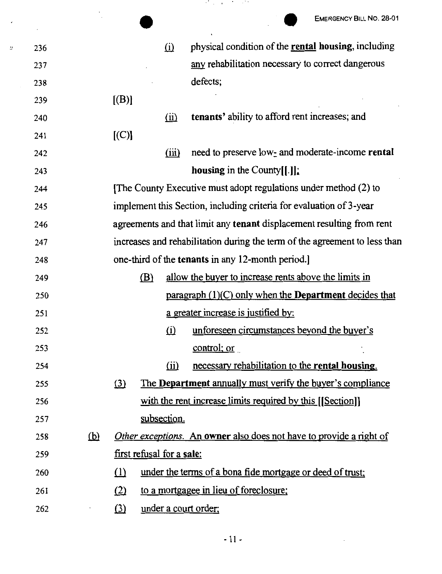| $\Omega$<br>236<br>any rehabilitation necessary to correct dangerous<br>237<br>defects;<br>238<br>[(B)]<br>239<br>tenants' ability to afford rent increases; and<br>(ii)<br>240<br>[C]<br>241<br>(iii)<br>242<br>housing in the County $[[.]]$ .<br>243<br>The County Executive must adopt regulations under method (2) to<br>244<br>implement this Section, including criteria for evaluation of 3-year<br>245<br>246<br>247<br>one-third of the <b>tenants</b> in any 12-month period.]<br>248<br>allow the buyer to increase rents above the limits in<br>(B)<br>249<br>250<br>a greater increase is justified by:<br>251<br>(i) unforeseen circumstances beyond the buyer's<br>252<br>control; or<br>253<br>necessary rehabilitation to the rental housing.<br>$\overline{ii}$<br>254<br>(3)<br>255<br>with the rent increase limits required by this [[Section]]<br>256<br>subsection.<br>257<br><u>(b)</u><br>258<br>first refusal for a sale:<br>259<br>under the terms of a bona fide mortgage or deed of trust;<br>(1)<br>260<br>to a mortgagee in lieu of foreclosure;<br>(2)<br>261<br>under a court order;<br>$\Omega$<br>262 |  |                                                                            |
|-------------------------------------------------------------------------------------------------------------------------------------------------------------------------------------------------------------------------------------------------------------------------------------------------------------------------------------------------------------------------------------------------------------------------------------------------------------------------------------------------------------------------------------------------------------------------------------------------------------------------------------------------------------------------------------------------------------------------------------------------------------------------------------------------------------------------------------------------------------------------------------------------------------------------------------------------------------------------------------------------------------------------------------------------------------------------------------------------------------------------------------------|--|----------------------------------------------------------------------------|
|                                                                                                                                                                                                                                                                                                                                                                                                                                                                                                                                                                                                                                                                                                                                                                                                                                                                                                                                                                                                                                                                                                                                           |  | EMERGENCY BILL NO. 28-01                                                   |
|                                                                                                                                                                                                                                                                                                                                                                                                                                                                                                                                                                                                                                                                                                                                                                                                                                                                                                                                                                                                                                                                                                                                           |  | physical condition of the rental housing, including                        |
|                                                                                                                                                                                                                                                                                                                                                                                                                                                                                                                                                                                                                                                                                                                                                                                                                                                                                                                                                                                                                                                                                                                                           |  |                                                                            |
|                                                                                                                                                                                                                                                                                                                                                                                                                                                                                                                                                                                                                                                                                                                                                                                                                                                                                                                                                                                                                                                                                                                                           |  |                                                                            |
|                                                                                                                                                                                                                                                                                                                                                                                                                                                                                                                                                                                                                                                                                                                                                                                                                                                                                                                                                                                                                                                                                                                                           |  |                                                                            |
|                                                                                                                                                                                                                                                                                                                                                                                                                                                                                                                                                                                                                                                                                                                                                                                                                                                                                                                                                                                                                                                                                                                                           |  |                                                                            |
|                                                                                                                                                                                                                                                                                                                                                                                                                                                                                                                                                                                                                                                                                                                                                                                                                                                                                                                                                                                                                                                                                                                                           |  |                                                                            |
|                                                                                                                                                                                                                                                                                                                                                                                                                                                                                                                                                                                                                                                                                                                                                                                                                                                                                                                                                                                                                                                                                                                                           |  | need to preserve low- and moderate-income rental                           |
|                                                                                                                                                                                                                                                                                                                                                                                                                                                                                                                                                                                                                                                                                                                                                                                                                                                                                                                                                                                                                                                                                                                                           |  |                                                                            |
|                                                                                                                                                                                                                                                                                                                                                                                                                                                                                                                                                                                                                                                                                                                                                                                                                                                                                                                                                                                                                                                                                                                                           |  |                                                                            |
|                                                                                                                                                                                                                                                                                                                                                                                                                                                                                                                                                                                                                                                                                                                                                                                                                                                                                                                                                                                                                                                                                                                                           |  |                                                                            |
|                                                                                                                                                                                                                                                                                                                                                                                                                                                                                                                                                                                                                                                                                                                                                                                                                                                                                                                                                                                                                                                                                                                                           |  | agreements and that limit any tenant displacement resulting from rent      |
|                                                                                                                                                                                                                                                                                                                                                                                                                                                                                                                                                                                                                                                                                                                                                                                                                                                                                                                                                                                                                                                                                                                                           |  | increases and rehabilitation during the term of the agreement to less than |
|                                                                                                                                                                                                                                                                                                                                                                                                                                                                                                                                                                                                                                                                                                                                                                                                                                                                                                                                                                                                                                                                                                                                           |  |                                                                            |
|                                                                                                                                                                                                                                                                                                                                                                                                                                                                                                                                                                                                                                                                                                                                                                                                                                                                                                                                                                                                                                                                                                                                           |  |                                                                            |
|                                                                                                                                                                                                                                                                                                                                                                                                                                                                                                                                                                                                                                                                                                                                                                                                                                                                                                                                                                                                                                                                                                                                           |  | paragraph (1)(C) only when the <b>Department</b> decides that              |
|                                                                                                                                                                                                                                                                                                                                                                                                                                                                                                                                                                                                                                                                                                                                                                                                                                                                                                                                                                                                                                                                                                                                           |  |                                                                            |
|                                                                                                                                                                                                                                                                                                                                                                                                                                                                                                                                                                                                                                                                                                                                                                                                                                                                                                                                                                                                                                                                                                                                           |  |                                                                            |
|                                                                                                                                                                                                                                                                                                                                                                                                                                                                                                                                                                                                                                                                                                                                                                                                                                                                                                                                                                                                                                                                                                                                           |  |                                                                            |
|                                                                                                                                                                                                                                                                                                                                                                                                                                                                                                                                                                                                                                                                                                                                                                                                                                                                                                                                                                                                                                                                                                                                           |  |                                                                            |
|                                                                                                                                                                                                                                                                                                                                                                                                                                                                                                                                                                                                                                                                                                                                                                                                                                                                                                                                                                                                                                                                                                                                           |  | The <b>Department</b> annually must verify the buyer's compliance          |
|                                                                                                                                                                                                                                                                                                                                                                                                                                                                                                                                                                                                                                                                                                                                                                                                                                                                                                                                                                                                                                                                                                                                           |  |                                                                            |
|                                                                                                                                                                                                                                                                                                                                                                                                                                                                                                                                                                                                                                                                                                                                                                                                                                                                                                                                                                                                                                                                                                                                           |  |                                                                            |
|                                                                                                                                                                                                                                                                                                                                                                                                                                                                                                                                                                                                                                                                                                                                                                                                                                                                                                                                                                                                                                                                                                                                           |  | Other exceptions. An owner also does not have to provide a right of        |
|                                                                                                                                                                                                                                                                                                                                                                                                                                                                                                                                                                                                                                                                                                                                                                                                                                                                                                                                                                                                                                                                                                                                           |  |                                                                            |
|                                                                                                                                                                                                                                                                                                                                                                                                                                                                                                                                                                                                                                                                                                                                                                                                                                                                                                                                                                                                                                                                                                                                           |  |                                                                            |
|                                                                                                                                                                                                                                                                                                                                                                                                                                                                                                                                                                                                                                                                                                                                                                                                                                                                                                                                                                                                                                                                                                                                           |  |                                                                            |
|                                                                                                                                                                                                                                                                                                                                                                                                                                                                                                                                                                                                                                                                                                                                                                                                                                                                                                                                                                                                                                                                                                                                           |  |                                                                            |

 $\mathcal{O}(\mathcal{O}_\mathcal{A})$  . The set of  $\mathcal{O}(\mathcal{O}_\mathcal{A})$ 

 $\bar{U}$ 

 $\hat{\mathcal{E}}$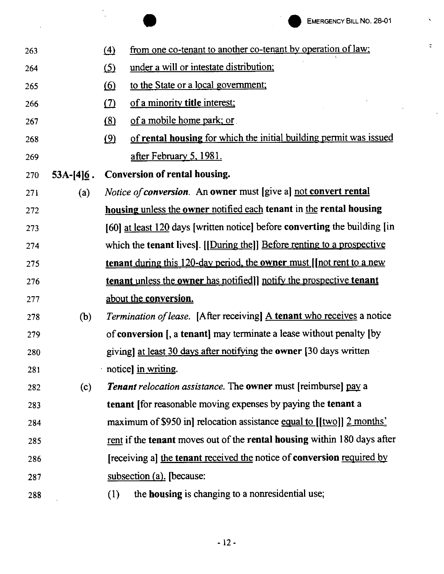$\ddot{\phantom{0}}$ 

 $\mathbb{C}$ 

 $\sim 10$ 

|     |              | <b>EMERGENCY BILL NO. 28-01</b>                                                     |
|-----|--------------|-------------------------------------------------------------------------------------|
| 263 |              | from one co-tenant to another co-tenant by operation of law;<br>$\left(4\right)$    |
| 264 |              | under a will or intestate distribution;<br><u>(5)</u>                               |
| 265 |              | to the State or a local government;<br><u>(6)</u>                                   |
| 266 |              | of a minority title interest;<br><u>(7)</u>                                         |
| 267 |              | of a mobile home park; or<br>(8)                                                    |
| 268 |              | of rental housing for which the initial building permit was issued<br>$\circled{2}$ |
| 269 |              | <u>after February 5, 1981.</u>                                                      |
| 270 | $53A-[4]6$ . | <b>Conversion of rental housing.</b>                                                |
| 271 | (a)          | <i>Notice of conversion.</i> An owner must [give a] not convert rental              |
| 272 |              | housing unless the owner notified each tenant in the rental housing                 |
| 273 |              | [60] at least $120$ days [written notice] before converting the building [in        |
| 274 |              | which the tenant lives]. [[During the]] Before renting to a prospective             |
| 275 |              | tenant during this 120-day period, the owner must [[not rent to a new               |
| 276 |              | tenant unless the owner has notified]] notify the prospective tenant                |
| 277 |              | about the conversion.                                                               |
| 278 | (b)          | <i>Termination of lease.</i> [After receiving] A tenant who receives a notice       |
| 279 |              | of <b>conversion</b> [, a <b>tenant</b> ] may terminate a lease without penalty [by |
| 280 |              | giving] at least 30 days after notifying the owner [30 days written                 |
| 281 |              | notice] in writing.                                                                 |
| 282 | (c)          | <b>Tenant</b> relocation assistance. The <b>owner</b> must [reimburse] pay a        |
| 283 |              | <b>tenant</b> for reasonable moving expenses by paying the tenant a                 |
| 284 |              | maximum of \$950 in relocation assistance equal to $[[two]]$ 2 months.              |
| 285 |              | rent if the tenant moves out of the rental housing within 180 days after            |
| 286 |              | [receiving a] the tenant received the notice of conversion required by              |
| 287 |              | subsection (a). [because:                                                           |
| 288 |              | the housing is changing to a nonresidential use;<br>(1)                             |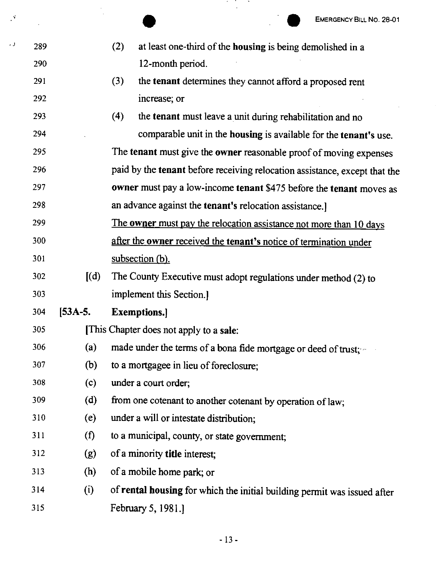|     |         |                    | <b>EMERGENCY BILL NO. 28-01</b>                                            |
|-----|---------|--------------------|----------------------------------------------------------------------------|
|     |         |                    |                                                                            |
| 289 |         | (2)                | at least one-third of the housing is being demolished in a                 |
| 290 |         |                    | 12-month period.                                                           |
| 291 |         | (3)                | the tenant determines they cannot afford a proposed rent                   |
| 292 |         |                    | increase; or                                                               |
| 293 |         | (4)                | the tenant must leave a unit during rehabilitation and no                  |
| 294 |         |                    | comparable unit in the housing is available for the tenant's use.          |
| 295 |         |                    | The tenant must give the owner reasonable proof of moving expenses         |
| 296 |         |                    | paid by the tenant before receiving relocation assistance, except that the |
| 297 |         |                    | owner must pay a low-income tenant \$475 before the tenant moves as        |
| 298 |         |                    | an advance against the tenant's relocation assistance.]                    |
| 299 |         |                    | The owner must pay the relocation assistance not more than 10 days         |
| 300 |         |                    | after the owner received the tenant's notice of termination under          |
| 301 |         | subsection (b).    |                                                                            |
| 302 | (d)     |                    | The County Executive must adopt regulations under method (2) to            |
| 303 |         |                    | implement this Section.                                                    |
| 304 | [53A-5. | <b>Exemptions.</b> |                                                                            |
| 305 |         |                    | [This Chapter does not apply to a sale:                                    |
| 306 | (a)     |                    | made under the terms of a bona fide mortgage or deed of trust;             |
| 307 | (b)     |                    | to a mortgagee in lieu of foreclosure;                                     |
| 308 | (c)     |                    | under a court order;                                                       |
| 309 | (d)     |                    | from one cotenant to another cotenant by operation of law;                 |
| 310 | (e)     |                    | under a will or intestate distribution;                                    |
| 311 | (f)     |                    | to a municipal, county, or state government;                               |
| 312 | (g)     |                    | of a minority title interest;                                              |
| 313 | (h)     |                    | of a mobile home park; or                                                  |
| 314 | (i)     |                    | of rental housing for which the initial building permit was issued after   |
| 315 |         |                    | February 5, 1981.                                                          |

 $\star$  J

 $\mathcal{A}$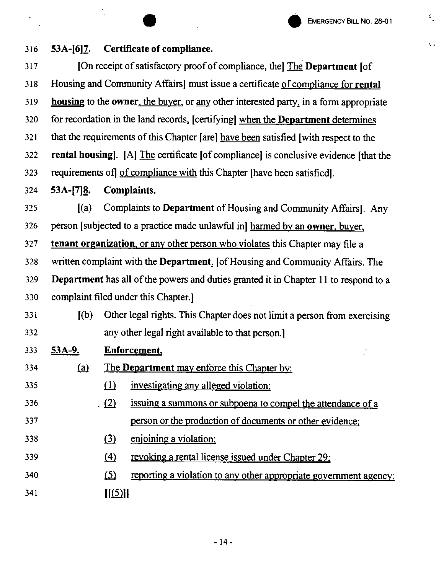$\hat{\mathbf{v}}_{\perp}$ 

 $\mathbf{C}_\bullet$ 

|     |                                                                                              | <b>EMERGENCY BILL NO. 28-01</b>                                                  |  |  |  |  |  |
|-----|----------------------------------------------------------------------------------------------|----------------------------------------------------------------------------------|--|--|--|--|--|
| 316 | $53A-[6]7.$                                                                                  | Certificate of compliance.                                                       |  |  |  |  |  |
| 317 |                                                                                              | [On receipt of satisfactory proof of compliance, the] The Department [of         |  |  |  |  |  |
| 318 |                                                                                              | Housing and Community Affairs] must issue a certificate of compliance for rental |  |  |  |  |  |
| 319 | housing to the owner, the buyer, or any other interested party, in a form appropriate        |                                                                                  |  |  |  |  |  |
| 320 | for recordation in the land records, [certifying] when the Department determines             |                                                                                  |  |  |  |  |  |
| 321 | that the requirements of this Chapter [are] have been satisfied [with respect to the         |                                                                                  |  |  |  |  |  |
| 322 | <b>rental housing</b> . [A] The certificate [of compliance] is conclusive evidence [that the |                                                                                  |  |  |  |  |  |
| 323 |                                                                                              | requirements of of compliance with this Chapter [have been satisfied].           |  |  |  |  |  |
| 324 | $53A-[7]8.$                                                                                  | Complaints.                                                                      |  |  |  |  |  |
| 325 | (a)                                                                                          | Complaints to Department of Housing and Community Affairs]. Any                  |  |  |  |  |  |
| 326 |                                                                                              | person [subjected to a practice made unlawful in] harmed by an owner, buyer,     |  |  |  |  |  |
| 327 |                                                                                              | tenant organization, or any other person who violates this Chapter may file a    |  |  |  |  |  |
| 328 |                                                                                              | written complaint with the Department. [of Housing and Community Affairs. The    |  |  |  |  |  |
| 329 | Department has all of the powers and duties granted it in Chapter 11 to respond to a         |                                                                                  |  |  |  |  |  |
| 330 |                                                                                              | complaint filed under this Chapter.                                              |  |  |  |  |  |
| 331 | [(b)]                                                                                        | Other legal rights. This Chapter does not limit a person from exercising         |  |  |  |  |  |
| 332 |                                                                                              | any other legal right available to that person.                                  |  |  |  |  |  |
| 333 | <u>53A-9.</u>                                                                                | <b>Enforcement.</b>                                                              |  |  |  |  |  |
| 334 | (a)                                                                                          | The Department may enforce this Chapter by:                                      |  |  |  |  |  |
| 335 |                                                                                              | $\Omega$<br>investigating any alleged violation;                                 |  |  |  |  |  |
| 336 |                                                                                              | $\sqrt{2}$<br>issuing a summons or subpoena to compel the attendance of a        |  |  |  |  |  |
| 337 |                                                                                              | person or the production of documents or other evidence;                         |  |  |  |  |  |
| 338 |                                                                                              | enjoining a violation;<br>$\Omega$                                               |  |  |  |  |  |
| 339 |                                                                                              | $\Delta$<br><u>revoking a rental license issued under Chapter 29;</u>            |  |  |  |  |  |
| 340 |                                                                                              | <u>(ර)</u><br>reporting a violation to any other appropriate government agency;  |  |  |  |  |  |
| 341 |                                                                                              | [[(5)]]                                                                          |  |  |  |  |  |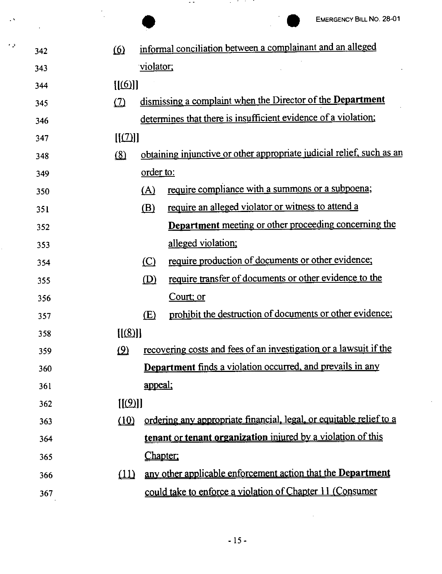$\cdot$ 

|     |            |                | <b>EMERGENCY BILL NO. 28-01</b>                                       |
|-----|------------|----------------|-----------------------------------------------------------------------|
| 342 | 6          |                | informal conciliation between a complainant and an alleged            |
| 343 |            | violator:      |                                                                       |
| 344 | [[6]]      |                |                                                                       |
| 345 | (7)        |                | dismissing a complaint when the Director of the Department            |
| 346 |            |                | determines that there is insufficient evidence of a violation;        |
| 347 | [[(7)]]    |                |                                                                       |
| 348 | $\Omega$   |                | obtaining injunctive or other appropriate judicial relief, such as an |
| 349 |            | order to:      |                                                                       |
| 350 |            | (A)            | require compliance with a summons or a subpoena;                      |
| 351 |            | (B)            | require an alleged violator or witness to attend a                    |
| 352 |            |                | <b>Department</b> meeting or other proceeding concerning the          |
| 353 |            |                | alleged violation;                                                    |
| 354 |            | $\circ$        | require production of documents or other evidence;                    |
| 355 |            | (D)            | require transfer of documents or other evidence to the                |
| 356 |            |                | Court; or                                                             |
| 357 |            | (E)            | prohibit the destruction of documents or other evidence;              |
| 358 | $[$ [(8)]] |                |                                                                       |
| 359 | $\Omega$   |                | recovering costs and fees of an investigation or a lawsuit if the     |
| 360 |            |                | <b>Department</b> finds a violation occurred, and prevails in any     |
| 361 |            | <u>appeal;</u> |                                                                       |
| 362 | [[(9)]]    |                |                                                                       |
| 363 | (10)       |                | ordering any appropriate financial, legal, or equitable relief to a   |
| 364 |            |                | tenant or tenant organization injured by a violation of this          |
| 365 |            | <u>Chapter</u> |                                                                       |
| 366 | (11)       |                | any other applicable enforcement action that the Department           |
| 367 |            |                | could take to enforce a violation of Chapter 11 (Consumer             |

• *.I* 

l,

 $\sim$   $^{\circ}$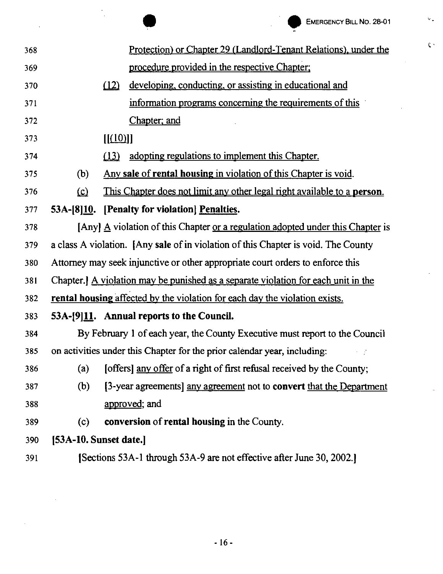$\mathbf{v}_{\mathrm{in}}$ 

 $\mathfrak{C}^{\mathcal{A}}$ 

|     |                                                                                    |        | <b>EMERGENCY BILL NO. 28-01</b>                                                               |  |  |
|-----|------------------------------------------------------------------------------------|--------|-----------------------------------------------------------------------------------------------|--|--|
| 368 |                                                                                    |        | <u>Protection) or Chapter 29 (Landlord-Tenant Relations), under the</u>                       |  |  |
| 369 |                                                                                    |        | procedure provided in the respective Chapter;                                                 |  |  |
| 370 |                                                                                    | (12)   | developing, conducting, or assisting in educational and                                       |  |  |
| 371 |                                                                                    |        | information programs concerning the requirements of this                                      |  |  |
| 372 |                                                                                    |        | Chapter; and                                                                                  |  |  |
| 373 |                                                                                    | [(10)] |                                                                                               |  |  |
| 374 |                                                                                    | (13)   | adopting regulations to implement this Chapter.                                               |  |  |
| 375 | (b)                                                                                |        | Any sale of rental housing in violation of this Chapter is void.                              |  |  |
| 376 | $\Omega$                                                                           |        | This Chapter does not limit any other legal right available to a <b>person</b> .              |  |  |
| 377 | 53A-[8]10.                                                                         |        | [Penalty for violation] Penalties.                                                            |  |  |
| 378 |                                                                                    |        | [Any] $\underline{A}$ violation of this Chapter or a regulation adopted under this Chapter is |  |  |
| 379 |                                                                                    |        | a class A violation. [Any sale of in violation of this Chapter is void. The County            |  |  |
| 380 |                                                                                    |        | Attorney may seek injunctive or other appropriate court orders to enforce this                |  |  |
| 381 | Chapter.] A violation may be punished as a separate violation for each unit in the |        |                                                                                               |  |  |
| 382 |                                                                                    |        | rental housing affected by the violation for each day the violation exists.                   |  |  |
| 383 |                                                                                    |        | 53A-[9]11. Annual reports to the Council.                                                     |  |  |
| 384 |                                                                                    |        | By February 1 of each year, the County Executive must report to the Council                   |  |  |
| 385 |                                                                                    |        | on activities under this Chapter for the prior calendar year, including:                      |  |  |
| 386 | (a)                                                                                |        | [offers] any offer of a right of first refusal received by the County;                        |  |  |
| 387 | (b)                                                                                |        | [3-year agreements] any agreement not to convert that the Department                          |  |  |
| 388 |                                                                                    |        | approved; and                                                                                 |  |  |
| 389 | (c)                                                                                |        | <b>conversion</b> of <b>rental housing</b> in the County.                                     |  |  |
| 390 | [53A-10. Sunset date.]                                                             |        |                                                                                               |  |  |
| 391 | [Sections 53A-1 through 53A-9 are not effective after June 30, 2002.]              |        |                                                                                               |  |  |